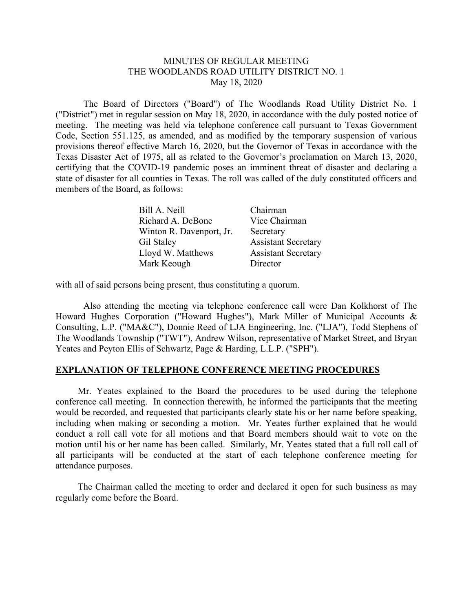## MINUTES OF REGULAR MEETING THE WOODLANDS ROAD UTILITY DISTRICT NO. 1 May 18, 2020

 The Board of Directors ("Board") of The Woodlands Road Utility District No. 1 ("District") met in regular session on May 18, 2020, in accordance with the duly posted notice of meeting. The meeting was held via telephone conference call pursuant to Texas Government Code, Section 551.125, as amended, and as modified by the temporary suspension of various provisions thereof effective March 16, 2020, but the Governor of Texas in accordance with the Texas Disaster Act of 1975, all as related to the Governor's proclamation on March 13, 2020, certifying that the COVID-19 pandemic poses an imminent threat of disaster and declaring a state of disaster for all counties in Texas. The roll was called of the duly constituted officers and members of the Board, as follows:

| Bill A. Neill            | Chairman                   |
|--------------------------|----------------------------|
| Richard A. DeBone        | Vice Chairman              |
| Winton R. Davenport, Jr. | Secretary                  |
| Gil Staley               | <b>Assistant Secretary</b> |
| Lloyd W. Matthews        | <b>Assistant Secretary</b> |
| Mark Keough              | Director                   |

with all of said persons being present, thus constituting a quorum.

Also attending the meeting via telephone conference call were Dan Kolkhorst of The Howard Hughes Corporation ("Howard Hughes"), Mark Miller of Municipal Accounts & Consulting, L.P. ("MA&C"), Donnie Reed of LJA Engineering, Inc. ("LJA"), Todd Stephens of The Woodlands Township ("TWT"), Andrew Wilson, representative of Market Street, and Bryan Yeates and Peyton Ellis of Schwartz, Page & Harding, L.L.P. ("SPH").

## **EXPLANATION OF TELEPHONE CONFERENCE MEETING PROCEDURES**

 Mr. Yeates explained to the Board the procedures to be used during the telephone conference call meeting. In connection therewith, he informed the participants that the meeting would be recorded, and requested that participants clearly state his or her name before speaking, including when making or seconding a motion. Mr. Yeates further explained that he would conduct a roll call vote for all motions and that Board members should wait to vote on the motion until his or her name has been called. Similarly, Mr. Yeates stated that a full roll call of all participants will be conducted at the start of each telephone conference meeting for attendance purposes.

 The Chairman called the meeting to order and declared it open for such business as may regularly come before the Board.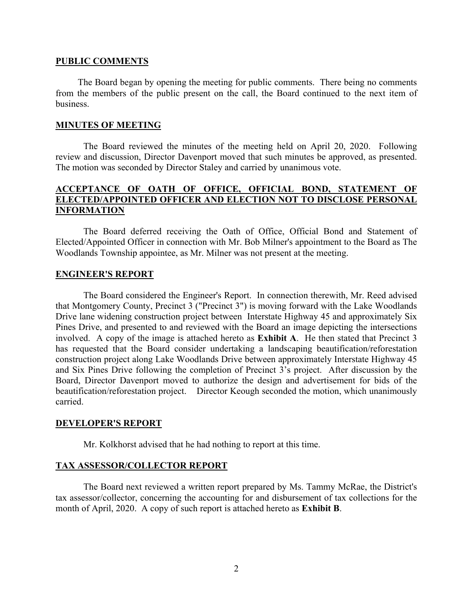#### **PUBLIC COMMENTS**

 The Board began by opening the meeting for public comments. There being no comments from the members of the public present on the call, the Board continued to the next item of business.

#### **MINUTES OF MEETING**

The Board reviewed the minutes of the meeting held on April 20, 2020. Following review and discussion, Director Davenport moved that such minutes be approved, as presented. The motion was seconded by Director Staley and carried by unanimous vote.

# **ACCEPTANCE OF OATH OF OFFICE, OFFICIAL BOND, STATEMENT OF ELECTED/APPOINTED OFFICER AND ELECTION NOT TO DISCLOSE PERSONAL INFORMATION**

 The Board deferred receiving the Oath of Office, Official Bond and Statement of Elected/Appointed Officer in connection with Mr. Bob Milner's appointment to the Board as The Woodlands Township appointee, as Mr. Milner was not present at the meeting.

## **ENGINEER'S REPORT**

 The Board considered the Engineer's Report. In connection therewith, Mr. Reed advised that Montgomery County, Precinct  $3$  ("Precinct  $3$ ") is moving forward with the Lake Woodlands Drive lane widening construction project between Interstate Highway 45 and approximately Six Pines Drive, and presented to and reviewed with the Board an image depicting the intersections involved. A copy of the image is attached hereto as **Exhibit A**. He then stated that Precinct 3 has requested that the Board consider undertaking a landscaping beautification/reforestation construction project along Lake Woodlands Drive between approximately Interstate Highway 45 and Six Pines Drive following the completion of Precinct 3's project. After discussion by the Board, Director Davenport moved to authorize the design and advertisement for bids of the beautification/reforestation project. Director Keough seconded the motion, which unanimously carried.

## **DEVELOPER'S REPORT**

Mr. Kolkhorst advised that he had nothing to report at this time.

## **TAX ASSESSOR/COLLECTOR REPORT**

 The Board next reviewed a written report prepared by Ms. Tammy McRae, the District's tax assessor/collector, concerning the accounting for and disbursement of tax collections for the month of April, 2020. A copy of such report is attached hereto as **Exhibit B**.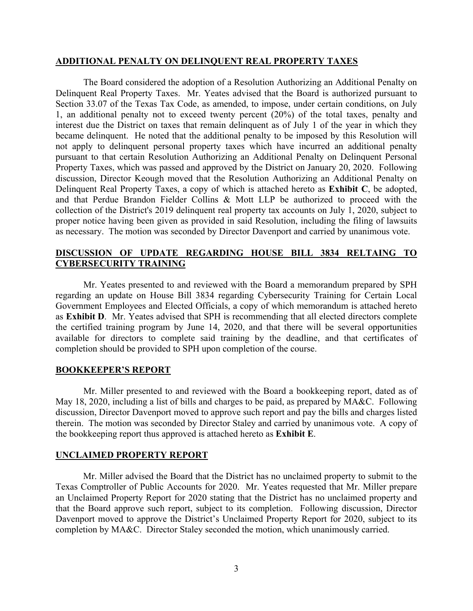#### **ADDITIONAL PENALTY ON DELINQUENT REAL PROPERTY TAXES**

 The Board considered the adoption of a Resolution Authorizing an Additional Penalty on Delinquent Real Property Taxes. Mr. Yeates advised that the Board is authorized pursuant to Section 33.07 of the Texas Tax Code, as amended, to impose, under certain conditions, on July 1, an additional penalty not to exceed twenty percent (20%) of the total taxes, penalty and interest due the District on taxes that remain delinquent as of July 1 of the year in which they became delinquent. He noted that the additional penalty to be imposed by this Resolution will not apply to delinquent personal property taxes which have incurred an additional penalty pursuant to that certain Resolution Authorizing an Additional Penalty on Delinquent Personal Property Taxes, which was passed and approved by the District on January 20, 2020. Following discussion, Director Keough moved that the Resolution Authorizing an Additional Penalty on Delinquent Real Property Taxes, a copy of which is attached hereto as **Exhibit C**, be adopted, and that Perdue Brandon Fielder Collins & Mott LLP be authorized to proceed with the collection of the District's 2019 delinquent real property tax accounts on July 1, 2020, subject to proper notice having been given as provided in said Resolution, including the filing of lawsuits as necessary. The motion was seconded by Director Davenport and carried by unanimous vote.

# **DISCUSSION OF UPDATE REGARDING HOUSE BILL 3834 RELTAING TO CYBERSECURITY TRAINING**

Mr. Yeates presented to and reviewed with the Board a memorandum prepared by SPH regarding an update on House Bill 3834 regarding Cybersecurity Training for Certain Local Government Employees and Elected Officials, a copy of which memorandum is attached hereto as **Exhibit D**. Mr. Yeates advised that SPH is recommending that all elected directors complete the certified training program by June 14, 2020, and that there will be several opportunities available for directors to complete said training by the deadline, and that certificates of completion should be provided to SPH upon completion of the course.

## **BOOKKEEPER'S REPORT**

Mr. Miller presented to and reviewed with the Board a bookkeeping report, dated as of May 18, 2020, including a list of bills and charges to be paid, as prepared by MA&C. Following discussion, Director Davenport moved to approve such report and pay the bills and charges listed therein. The motion was seconded by Director Staley and carried by unanimous vote. A copy of the bookkeeping report thus approved is attached hereto as **Exhibit E**.

## **UNCLAIMED PROPERTY REPORT**

 Mr. Miller advised the Board that the District has no unclaimed property to submit to the Texas Comptroller of Public Accounts for 2020. Mr. Yeates requested that Mr. Miller prepare an Unclaimed Property Report for 2020 stating that the District has no unclaimed property and that the Board approve such report, subject to its completion. Following discussion, Director Davenport moved to approve the District's Unclaimed Property Report for 2020, subject to its completion by MA&C. Director Staley seconded the motion, which unanimously carried.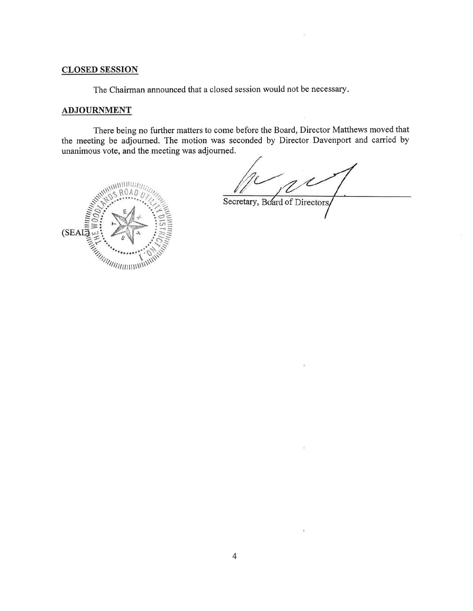# **CLOSED SESSION**

The Chairman announced that a closed session would not be necessary.

#### **ADJOURNMENT**

There being no further matters to come before the Board, Director Matthews moved that the meeting be adjourned. The motion was seconded by Director Davenport and carried by unanimous vote, and the meeting was adjourned.

U Secretary, Board of Directors,